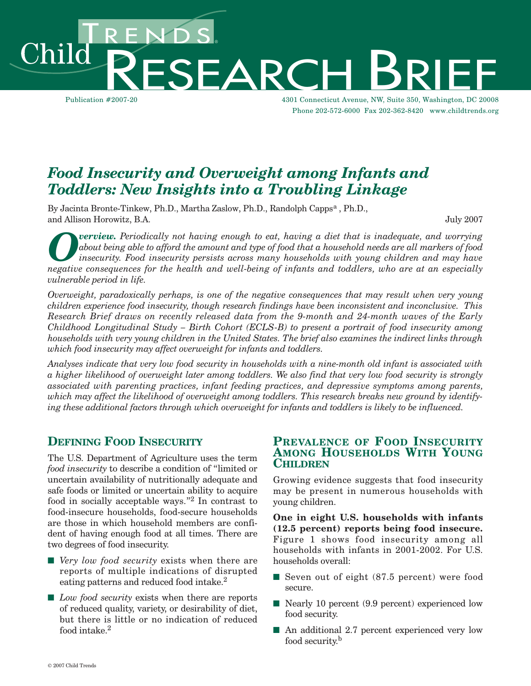Publication #2007-20 4301 Connecticut Avenue, NW, Suite 350, Washington, DC 20008 Phone 202-572-6000 Fax 202-362-8420 www.childtrends.org SEARC

*Food Insecurity and Overweight among Infants and Toddlers: New Insights into a Troubling Linkage*

By Jacinta Bronte-Tinkew, Ph.D., Martha Zaslow, Ph.D., Randolph Capps<sup>a</sup>, Ph.D., and Allison Horowitz, B.A. July 2007

**Overview.** Periodically not having enough to eat, having a diet that is inadequate, and worrying<br>about being able to afford the amount and type of food that a household needs are all markers of food<br>insecurity. Food insec *about being able to afford the amount and type of food that a household needs are all markers of food insecurity. Food insecurity persists across many households with young children and may have negative consequences for the health and well-being of infants and toddlers, who are at an especially vulnerable period in life.* 

*Overweight, paradoxically perhaps, is one of the negative consequences that may result when very young children experience food insecurity, though research findings have been inconsistent and inconclusive. This Research Brief draws on recently released data from the 9-month and 24-month waves of the Early Childhood Longitudinal Study – Birth Cohort (ECLS-B) to present a portrait of food insecurity among households with very young children in the United States. The brief also examines the indirect links through which food insecurity may affect overweight for infants and toddlers.* 

*Analyses indicate that very low food security in households with a nine-month old infant is associated with a higher likelihood of overweight later among toddlers. We also find that very low food security is strongly associated with parenting practices, infant feeding practices, and depressive symptoms among parents, which may affect the likelihood of overweight among toddlers. This research breaks new ground by identifying these additional factors through which overweight for infants and toddlers is likely to be influenced.* 

#### **DEFINING FOOD INSECURITY**

The U.S. Department of Agriculture uses the term *food insecurity* to describe a condition of "limited or uncertain availability of nutritionally adequate and safe foods or limited or uncertain ability to acquire food in socially acceptable ways."2 In contrast to food-insecure households, food-secure households are those in which household members are confident of having enough food at all times. There are two degrees of food insecurity.

- *Very low food security* exists when there are reports of multiple indications of disrupted eating patterns and reduced food intake.<sup>2</sup>
- *Low food security* exists when there are reports of reduced quality, variety, or desirability of diet, but there is little or no indication of reduced food intake.<sup>2</sup>

#### **PREVALENCE OF FOOD INSECURITY AMONG HOUSEHOLDS WITH YOUNG CHILDREN**

Growing evidence suggests that food insecurity may be present in numerous households with young children.

**One in eight U.S. households with infants (12.5 percent) reports being food insecure.** Figure 1 shows food insecurity among all households with infants in 2001-2002. For U.S. households overall:

- Seven out of eight (87.5 percent) were food secure.
- Nearly 10 percent (9.9 percent) experienced low food security.
- An additional 2.7 percent experienced very low food security.<sup>b</sup>

hild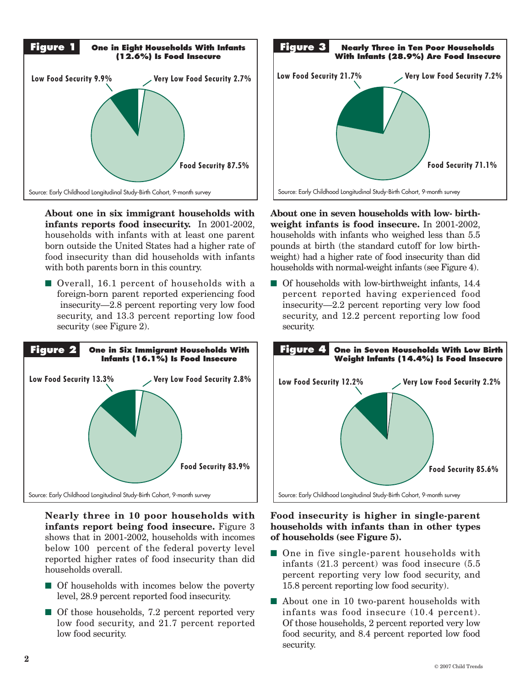

About one in six immigrant households with **infants reports food insecurity.** In 2001-2002, households with infants with at least one parent born outside the United States had a higher rate of food insecurity than did households with infants with both parents born in this country.

■ Overall, 16.1 percent of households with a foreign-born parent reported experiencing food insecurity—2.8 percent reporting very low food security, and 13.3 percent reporting low food security (see Figure 2).



**Nearly three in 10 poor households with infants report being food insecure.** Figure 3 shows that in 2001-2002, households with incomes below 100 percent of the federal poverty level reported higher rates of food insecurity than did households overall.

- Of households with incomes below the poverty level, 28.9 percent reported food insecurity.
- Of those households, 7.2 percent reported very low food security, and 21.7 percent reported<br>low food security low food security.



**About one in seven households with low- birthweight infants is food insecure.** In 2001-2002, **Low Food Security 1988**<br>households with infants who weighed less than 5.5 pounds at birth (the standard cutoff for low birth-**80%** weight) had a higher rate of food insecurity than did households with normal-weight infants (see Figure 4). **60% original**<br> **example 1**<br> **original**<br> **original**<br> **example 1**<br> **example 1**<br> **example 1**<br> **example 1** 

■ Of households with low-birthweight infants, 14.4 percent reported having experienced food **40%** insecurity—2.2 percent reporting very low food security, and 12.2 percent reporting low food security.



#### **Food insecurity is higher in single-parent households with infants than in other types of households (see Figure 5).**

- One in five single-parent households with infants (21.3 percent) was food insecure (5.5 percent reporting very low food security, and 15.8 percent reporting low food security).
- About one in 10 two-parent households with infants was food insecure (10.4 percent). Of those households, 2 percent reported very low food security, and 8.4 percent reported low food security.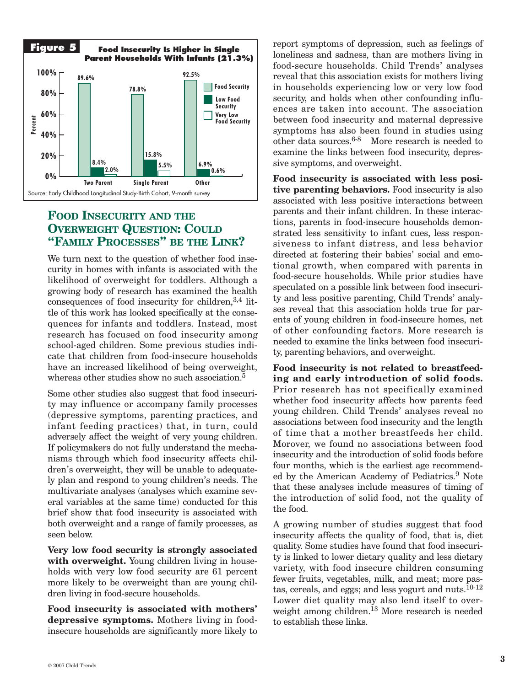

# **FOOD INSECURITY AND THE OVERWEIGHT QUESTION: COULD "FAMILY PROCESSES" BE THE LINK?**

We turn next to the question of whether food insecurity in homes with infants is associated with the likelihood of overweight for toddlers. Although a growing body of research has examined the health consequences of food insecurity for children,3,4 little of this work has looked specifically at the consequences for infants and toddlers. Instead, most research has focused on food insecurity among school-aged children. Some previous studies indicate that children from food-insecure households have an increased likelihood of being overweight, whereas other studies show no such association.<sup>5</sup>

Some other studies also suggest that food insecurity may influence or accompany family processes (depressive symptoms, parenting practices, and infant feeding practices) that, in turn, could adversely affect the weight of very young children. If policymakers do not fully understand the mechanisms through which food insecurity affects children's overweight, they will be unable to adequately plan and respond to young children's needs. The multivariate analyses (analyses which examine several variables at the same time) conducted for this brief show that food insecurity is associated with both overweight and a range of family processes, as seen below.

**Very low food security is strongly associated** with overweight. Young children living in households with very low food security are 61 percent more likely to be overweight than are young children living in food-secure households.

**Food insecurity is associated with mothers' depressive symptoms.** Mothers living in foodinsecure households are significantly more likely to report symptoms of depression, such as feelings of loneliness and sadness, than are mothers living in food-secure households. Child Trends' analyses reveal that this association exists for mothers living in households experiencing low or very low food security, and holds when other confounding influences are taken into account. The association between food insecurity and maternal depressive symptoms has also been found in studies using other data sources.6-8 More research is needed to examine the links between food insecurity, depressive symptoms, and overweight.

**Food insecurity is associated with less positive parenting behaviors.** Food insecurity is also associated with less positive interactions between parents and their infant children. In these interactions, parents in food-insecure households demonstrated less sensitivity to infant cues, less responsiveness to infant distress, and less behavior directed at fostering their babies' social and emotional growth, when compared with parents in food-secure households. While prior studies have speculated on a possible link between food insecurity and less positive parenting, Child Trends' analyses reveal that this association holds true for parents of young children in food-insecure homes, net of other confounding factors. More research is needed to examine the links between food insecurity, parenting behaviors, and overweight.

**Food insecurity is not related to breastfeeding and early introduction of solid foods.** Prior research has not specifically examined whether food insecurity affects how parents feed young children. Child Trends' analyses reveal no associations between food insecurity and the length of time that a mother breastfeeds her child. Morover, we found no associations between food insecurity and the introduction of solid foods before four months, which is the earliest age recommended by the American Academy of Pediatrics.<sup>9</sup> Note that these analyses include measures of timing of the introduction of solid food, not the quality of the food.

A growing number of studies suggest that food insecurity affects the quality of food, that is, diet quality. Some studies have found that food insecurity is linked to lower dietary quality and less dietary variety, with food insecure children consuming fewer fruits, vegetables, milk, and meat; more pastas, cereals, and eggs; and less yogurt and nuts. $10^{-12}$ Lower diet quality may also lend itself to overweight among children.<sup>13</sup> More research is needed to establish these links.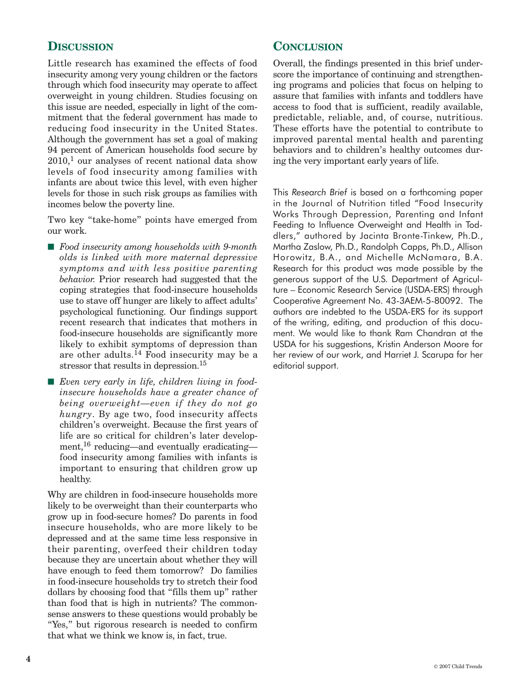# **DISCUSSION**

Little research has examined the effects of food insecurity among very young children or the factors through which food insecurity may operate to affect overweight in young children. Studies focusing on this issue are needed, especially in light of the commitment that the federal government has made to reducing food insecurity in the United States. Although the government has set a goal of making 94 percent of American households food secure by  $2010<sup>1</sup>$  our analyses of recent national data show levels of food insecurity among families with infants are about twice this level, with even higher levels for those in such risk groups as families with incomes below the poverty line.

Two key "take-home" points have emerged from our work.

- **■** *Food insecurity among households with 9-month olds is linked with more maternal depressive symptoms and with less positive parenting behavior.* Prior research had suggested that the coping strategies that food-insecure households use to stave off hunger are likely to affect adults' psychological functioning. Our findings support recent research that indicates that mothers in food-insecure households are significantly more likely to exhibit symptoms of depression than are other adults.<sup>14</sup> Food insecurity may be a stressor that results in depression.<sup>15</sup>
- Even very early in life, children living in food*insecure households have a greater chance of being overweight—even if they do not go hungry*. By age two, food insecurity affects children's overweight. Because the first years of life are so critical for children's later development,<sup>16</sup> reducing—and eventually eradicating food insecurity among families with infants is important to ensuring that children grow up healthy.

Why are children in food-insecure households more likely to be overweight than their counterparts who grow up in food-secure homes? Do parents in food insecure households, who are more likely to be depressed and at the same time less responsive in their parenting, overfeed their children today because they are uncertain about whether they will have enough to feed them tomorrow? Do families in food-insecure households try to stretch their food dollars by choosing food that "fills them up" rather than food that is high in nutrients? The commonsense answers to these questions would probably be "Yes," but rigorous research is needed to confirm that what we think we know is, in fact, true.

### **CONCLUSION**

Overall, the findings presented in this brief underscore the importance of continuing and strengthening programs and policies that focus on helping to assure that families with infants and toddlers have access to food that is sufficient, readily available, predictable, reliable, and, of course, nutritious. These efforts have the potential to contribute to improved parental mental health and parenting behaviors and to children's healthy outcomes during the very important early years of life.

This *Research Brief* is based on a forthcoming paper in the Journal of Nutrition titled "Food Insecurity Works Through Depression, Parenting and Infant Feeding to Influence Overweight and Health in Toddlers," authored by Jacinta Bronte-Tinkew, Ph.D., Martha Zaslow, Ph.D., Randolph Capps, Ph.D., Allison Horowitz, B.A., and Michelle McNamara, B.A. Research for this product was made possible by the generous support of the U.S. Department of Agriculture – Economic Research Service (USDA-ERS) through Cooperative Agreement No. 43-3AEM-5-80092. The authors are indebted to the USDA-ERS for its support of the writing, editing, and production of this document. We would like to thank Ram Chandran at the USDA for his suggestions, Kristin Anderson Moore for her review of our work, and Harriet J. Scarupa for her editorial support.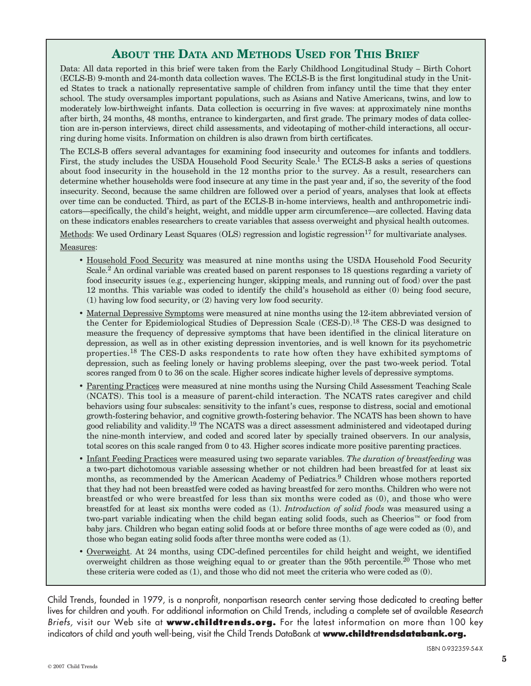## **ABOUT THE DATA AND METHODS USED FOR THIS BRIEF**

Data: All data reported in this brief were taken from the Early Childhood Longitudinal Study – Birth Cohort (ECLS-B) 9-month and 24-month data collection waves. The ECLS-B is the first longitudinal study in the United States to track a nationally representative sample of children from infancy until the time that they enter school. The study oversamples important populations, such as Asians and Native Americans, twins, and low to moderately low-birthweight infants. Data collection is occurring in five waves: at approximately nine months after birth, 24 months, 48 months, entrance to kindergarten, and first grade. The primary modes of data collection are in-person interviews, direct child assessments, and videotaping of mother-child interactions, all occurring during home visits. Information on children is also drawn from birth certificates.

The ECLS-B offers several advantages for examining food insecurity and outcomes for infants and toddlers. First, the study includes the USDA Household Food Security Scale.1 The ECLS-B asks a series of questions about food insecurity in the household in the 12 months prior to the survey. As a result, researchers can determine whether households were food insecure at any time in the past year and, if so, the severity of the food insecurity. Second, because the same children are followed over a period of years, analyses that look at effects over time can be conducted. Third, as part of the ECLS-B in-home interviews, health and anthropometric indicators—specifically, the child's height, weight, and middle upper arm circumference—are collected. Having data on these indicators enables researchers to create variables that assess overweight and physical health outcomes.

Methods: We used Ordinary Least Squares (OLS) regression and logistic regression<sup>17</sup> for multivariate analyses. Measures:

- Household Food Security was measured at nine months using the USDA Household Food Security Scale.2 An ordinal variable was created based on parent responses to 18 questions regarding a variety of food insecurity issues (e.g., experiencing hunger, skipping meals, and running out of food) over the past 12 months. This variable was coded to identify the child's household as either (0) being food secure, (1) having low food security, or (2) having very low food security.
- Maternal Depressive Symptoms were measured at nine months using the 12-item abbreviated version of the Center for Epidemiological Studies of Depression Scale (CES-D).<sup>18</sup> The CES-D was designed to measure the frequency of depressive symptoms that have been identified in the clinical literature on depression, as well as in other existing depression inventories, and is well known for its psychometric properties.<sup>18</sup> The CES-D asks respondents to rate how often they have exhibited symptoms of depression, such as feeling lonely or having problems sleeping, over the past two-week period. Total scores ranged from 0 to 36 on the scale. Higher scores indicate higher levels of depressive symptoms.
- Parenting Practices were measured at nine months using the Nursing Child Assessment Teaching Scale (NCATS). This tool is a measure of parent-child interaction. The NCATS rates caregiver and child behaviors using four subscales: sensitivity to the infant's cues, response to distress, social and emotional growth-fostering behavior, and cognitive growth-fostering behavior. The NCATS has been shown to have good reliability and validity.19 The NCATS was a direct assessment administered and videotaped during the nine-month interview, and coded and scored later by specially trained observers. In our analysis, total scores on this scale ranged from 0 to 43. Higher scores indicate more positive parenting practices.
- Infant Feeding Practices were measured using two separate variables. *The duration of breastfeeding* was a two-part dichotomous variable assessing whether or not children had been breastfed for at least six months, as recommended by the American Academy of Pediatrics.<sup>9</sup> Children whose mothers reported that they had not been breastfed were coded as having breastfed for zero months. Children who were not breastfed or who were breastfed for less than six months were coded as (0), and those who were breastfed for at least six months were coded as (1). *Introduction of solid foods* was measured using a two-part variable indicating when the child began eating solid foods, such as Cheerios™ or food from baby jars. Children who began eating solid foods at or before three months of age were coded as (0), and those who began eating solid foods after three months were coded as (1).
- Overweight. At 24 months, using CDC-defined percentiles for child height and weight, we identified overweight children as those weighing equal to or greater than the 95th percentile.<sup>20</sup> Those who met these criteria were coded as (1), and those who did not meet the criteria who were coded as (0).

Child Trends, founded in 1979, is a nonprofit, nonpartisan research center serving those dedicated to creating better lives for children and youth. For additional information on Child Trends, including a complete set of available *Research Briefs,* visit our Web site at **www.childtrends.org.** For the latest information on more than 100 key indicators of child and youth well-being, visit the Child Trends DataBank at **www.childtrendsdatabank.org.**